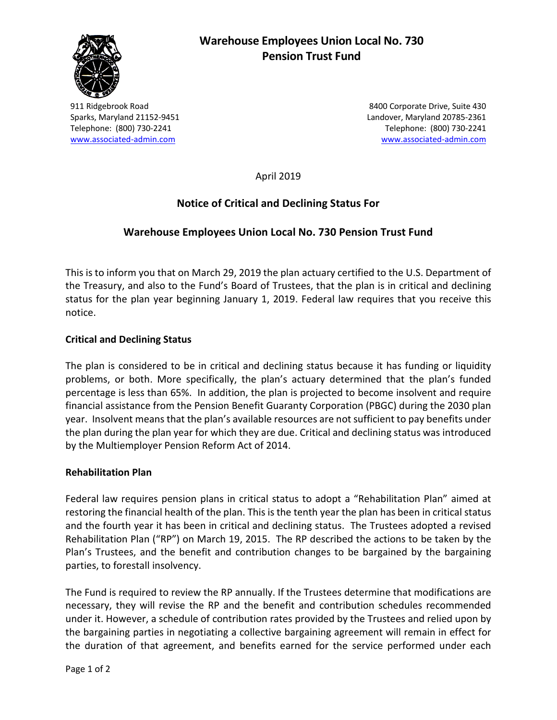

# **Warehouse Employees Union Local No. 730 Pension Trust Fund**

911 Ridgebrook Road 8400 Corporate Drive, Suite 430 Sparks, Maryland 21152-9451 Landover, Maryland 20785-2361 Telephone: (800) 730-2241 Telephone: (800) 730-2241 [www.associated-admin.com](http://www.associated-admin.com/) [www.associated-admin.com](http://www.associated-admin.com/) 

April 2019

## **Notice of Critical and Declining Status For**

## **Warehouse Employees Union Local No. 730 Pension Trust Fund**

This is to inform you that on March 29, 2019 the plan actuary certified to the U.S. Department of the Treasury, and also to the Fund's Board of Trustees, that the plan is in critical and declining status for the plan year beginning January 1, 2019. Federal law requires that you receive this notice.

#### **Critical and Declining Status**

The plan is considered to be in critical and declining status because it has funding or liquidity problems, or both. More specifically, the plan's actuary determined that the plan's funded percentage is less than 65%. In addition, the plan is projected to become insolvent and require financial assistance from the Pension Benefit Guaranty Corporation (PBGC) during the 2030 plan year. Insolvent means that the plan's available resources are not sufficient to pay benefits under the plan during the plan year for which they are due. Critical and declining status was introduced by the Multiemployer Pension Reform Act of 2014.

#### **Rehabilitation Plan**

Federal law requires pension plans in critical status to adopt a "Rehabilitation Plan" aimed at restoring the financial health of the plan. This is the tenth year the plan has been in critical status and the fourth year it has been in critical and declining status. The Trustees adopted a revised Rehabilitation Plan ("RP") on March 19, 2015. The RP described the actions to be taken by the Plan's Trustees, and the benefit and contribution changes to be bargained by the bargaining parties, to forestall insolvency.

The Fund is required to review the RP annually. If the Trustees determine that modifications are necessary, they will revise the RP and the benefit and contribution schedules recommended under it. However, a schedule of contribution rates provided by the Trustees and relied upon by the bargaining parties in negotiating a collective bargaining agreement will remain in effect for the duration of that agreement, and benefits earned for the service performed under each